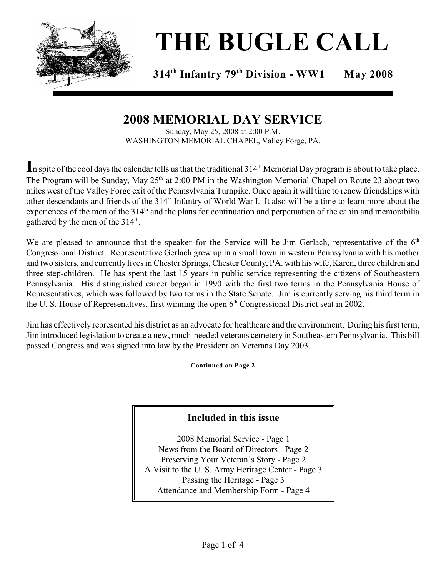

# **THE BUGLE CALL**

**314 Infantry 79 Division - WW1 May 2008 th th**

## **2008 MEMORIAL DAY SERVICE**

Sunday, May 25, 2008 at 2:00 P.M. WASHINGTON MEMORIAL CHAPEL, Valley Forge, PA.

In spite of the cool days the calendar tells us that the traditional 314<sup>th</sup> Memorial Day program is about to take place. The Program will be Sunday, May  $25<sup>th</sup>$  at 2:00 PM in the Washington Memorial Chapel on Route 23 about two miles west of the Valley Forge exit of the Pennsylvania Turnpike. Once again it will time to renew friendships with other descendants and friends of the 314<sup>th</sup> Infantry of World War I. It also will be a time to learn more about the experiences of the men of the  $314<sup>th</sup>$  and the plans for continuation and perpetuation of the cabin and memorabilia gathered by the men of the 314<sup>th</sup>.

We are pleased to announce that the speaker for the Service will be Jim Gerlach, representative of the  $6<sup>th</sup>$ Congressional District. Representative Gerlach grew up in a small town in western Pennsylvania with his mother and two sisters, and currently lives in Chester Springs, Chester County, PA. with his wife, Karen, three children and three step-children. He has spent the last 15 years in public service representing the citizens of Southeastern Pennsylvania. His distinguished career began in 1990 with the first two terms in the Pennsylvania House of Representatives, which was followed by two terms in the State Senate. Jim is currently serving his third term in the U. S. House of Represenatives, first winning the open  $6<sup>th</sup>$  Congressional District seat in 2002.

Jim has effectively represented his district as an advocate for healthcare and the environment. During his first term, Jim introduced legislation to create a new, much-needed veterans cemetery in Southeastern Pennsylvania. This bill passed Congress and was signed into law by the President on Veterans Day 2003.

**Continued on Page 2**

#### **Included in this issue**

2008 Memorial Service - Page 1 News from the Board of Directors - Page 2 Preserving Your Veteran's Story - Page 2 A Visit to the U. S. Army Heritage Center - Page 3 Passing the Heritage - Page 3 Attendance and Membership Form - Page 4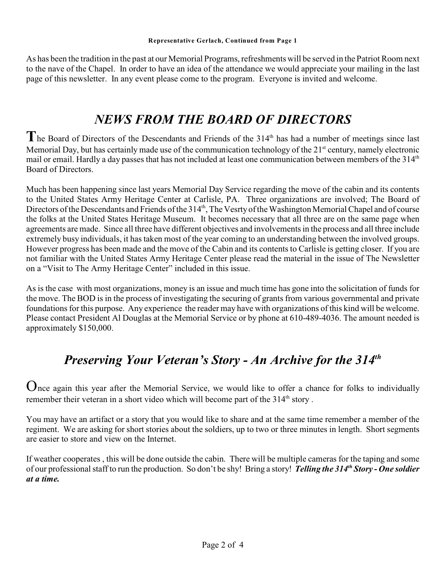As has been the tradition in the past at our Memorial Programs, refreshments will be served in the Patriot Room next to the nave of the Chapel. In order to have an idea of the attendance we would appreciate your mailing in the last page of this newsletter. In any event please come to the program. Everyone is invited and welcome.

## *NEWS FROM THE BOARD OF DIRECTORS*

The Board of Directors of the Descendants and Friends of the 314<sup>th</sup> has had a number of meetings since last Memorial Day, but has certainly made use of the communication technology of the  $21<sup>st</sup>$  century, namely electronic mail or email. Hardly a day passes that has not included at least one communication between members of the 314<sup>th</sup> Board of Directors.

Much has been happening since last years Memorial Day Service regarding the move of the cabin and its contents to the United States Army Heritage Center at Carlisle, PA. Three organizations are involved; The Board of Directors of the Descendants and Friends of the 314<sup>th</sup>, The Vesrty of the Washington Memorial Chapel and of course the folks at the United States Heritage Museum. It becomes necessary that all three are on the same page when agreements are made. Since all three have different objectives and involvements in the process and all three include extremely busy individuals, it has taken most of the year coming to an understanding between the involved groups. However progress has been made and the move of the Cabin and its contents to Carlisle is getting closer. If you are not familiar with the United States Army Heritage Center please read the material in the issue of The Newsletter on a "Visit to The Army Heritage Center" included in this issue.

As is the case with most organizations, money is an issue and much time has gone into the solicitation of funds for the move. The BOD is in the process of investigating the securing of grants from various governmental and private foundations for this purpose. Any experience the reader may have with organizations of this kind will be welcome. Please contact President Al Douglas at the Memorial Service or by phone at 610-489-4036. The amount needed is approximately \$150,000.

# *Preserving Your Veteran's Story - An Archive for the 314th*

Once again this year after the Memorial Service, we would like to offer a chance for folks to individually remember their veteran in a short video which will become part of the 314<sup>th</sup> story.

You may have an artifact or a story that you would like to share and at the same time remember a member of the regiment. We are asking for short stories about the soldiers, up to two or three minutes in length. Short segments are easier to store and view on the Internet.

If weather cooperates , this will be done outside the cabin. There will be multiple cameras for the taping and some of our professional staff to run the production. So don't be shy! Bring a story! *Telling the 314<sup>th</sup> Story - One soldier at a time.*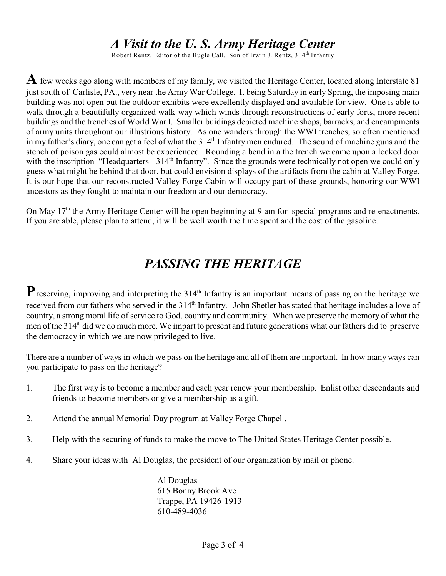## *A Visit to the U. S. Army Heritage Center*

Robert Rentz, Editor of the Bugle Call. Son of Irwin J. Rentz,  $314<sup>th</sup>$  Infantry

**A** few weeks ago along with members of my family, we visited the Heritage Center, located along Interstate 81 just south of Carlisle, PA., very near the Army War College. It being Saturday in early Spring, the imposing main building was not open but the outdoor exhibits were excellently displayed and available for view. One is able to walk through a beautifully organized walk-way which winds through reconstructions of early forts, more recent buildings and the trenches of World War I. Smaller buidings depicted machine shops, barracks, and encampments of army units throughout our illustrious history. As one wanders through the WWI trenches, so often mentioned in my father's diary, one can get a feel of what the 314<sup>th</sup> Infantry men endured. The sound of machine guns and the stench of poison gas could almost be experienced. Rounding a bend in a the trench we came upon a locked door with the inscription "Headquarters - 314<sup>th</sup> Infantry". Since the grounds were technically not open we could only guess what might be behind that door, but could envision displays of the artifacts from the cabin at Valley Forge. It is our hope that our reconstructed Valley Forge Cabin will occupy part of these grounds, honoring our WWI ancestors as they fought to maintain our freedom and our democracy.

On May 17<sup>th</sup> the Army Heritage Center will be open beginning at 9 am for special programs and re-enactments. If you are able, please plan to attend, it will be well worth the time spent and the cost of the gasoline.

# *PASSING THE HERITAGE*

**P**reserving, improving and interpreting the 314<sup>th</sup> Infantry is an important means of passing on the heritage we received from our fathers who served in the 314<sup>th</sup> Infantry. John Shetler has stated that heritage includes a love of country, a strong moral life of service to God, country and community. When we preserve the memory of what the men of the 314<sup>th</sup> did we do much more. We impart to present and future generations what our fathers did to preserve the democracy in which we are now privileged to live.

There are a number of ways in which we pass on the heritage and all of them are important. In how many ways can you participate to pass on the heritage?

- 1. The first way is to become a member and each year renew your membership. Enlist other descendants and friends to become members or give a membership as a gift.
- 2. Attend the annual Memorial Day program at Valley Forge Chapel .
- 3. Help with the securing of funds to make the move to The United States Heritage Center possible.
- 4. Share your ideas with Al Douglas, the president of our organization by mail or phone.

Al Douglas 615 Bonny Brook Ave Trappe, PA 19426-1913 610-489-4036